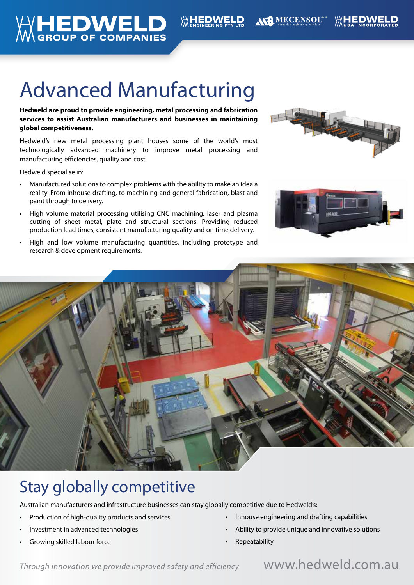

# Advanced Manufacturing

**Hedweld are proud to provide engineering, metal processing and fabrication services to assist Australian manufacturers and businesses in maintaining global competitiveness.** 

Hedweld's new metal processing plant houses some of the world's most technologically advanced machinery to improve metal processing and manufacturing efficiencies, quality and cost.

Hedweld specialise in:

- Manufactured solutions to complex problems with the ability to make an idea a reality. From inhouse drafting, to machining and general fabrication, blast and paint through to delivery.
- High volume material processing utilising CNC machining, laser and plasma cutting of sheet metal, plate and structural sections. Providing reduced production lead times, consistent manufacturing quality and on time delivery.
- High and low volume manufacturing quantities, including prototype and research & development requirements.







# Stay globally competitive

Australian manufacturers and infrastructure businesses can stay globally competitive due to Hedweld's:

- Production of high-quality products and services
- Investment in advanced technologies
- Growing skilled labour force
- Inhouse engineering and drafting capabilities
- Ability to provide unique and innovative solutions
- Repeatability

*Through innovation we provide improved safety and efficiency* www.hedweld.com.au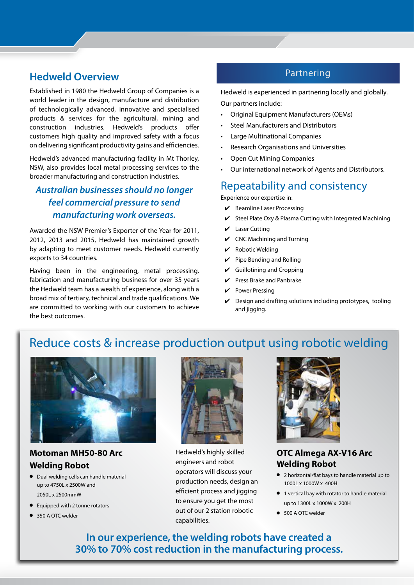# Partnering **Hedweld Overview**

Established in 1980 the Hedweld Group of Companies is a world leader in the design, manufacture and distribution of technologically advanced, innovative and specialised products & services for the agricultural, mining and construction industries. Hedweld's products offer customers high quality and improved safety with a focus on delivering significant productivity gains and efficiencies.

Hedweld's advanced manufacturing facility in Mt Thorley, NSW, also provides local metal processing services to the broader manufacturing and construction industries.

# *Australian businesses should no longer feel commercial pressure to send manufacturing work overseas.*

Awarded the NSW Premier's Exporter of the Year for 2011, 2012, 2013 and 2015, Hedweld has maintained growth by adapting to meet customer needs. Hedweld currently exports to 34 countries.

Having been in the engineering, metal processing, fabrication and manufacturing business for over 35 years the Hedweld team has a wealth of experience, along with a broad mix of tertiary, technical and trade qualifications. We are committed to working with our customers to achieve the best outcomes.

Hedweld is experienced in partnering locally and globally. Our partners include:

- Original Equipment Manufacturers (OEMs)
- Steel Manufacturers and Distributors
- Large Multinational Companies
- Research Organisations and Universities
- Open Cut Mining Companies
- Our international network of Agents and Distributors.

# Repeatability and consistency

Experience our expertise in:

- 4 Beamline Laser Processing
- Steel Plate Oxy & Plasma Cutting with Integrated Machining
- $\mathcal V$  Laser Cutting
- $\checkmark$  CNC Machining and Turning
- Robotic Welding
- $\vee$  Pipe Bending and Rolling
- $\boldsymbol{\nu}$  Guillotining and Cropping
- $\vee$  Press Brake and Panbrake
- Power Pressing
- 4 Design and drafting solutions including prototypes, tooling and jigging.

# Reduce costs & increase production output using robotic welding



## **Motoman MH50-80 Arc Welding Robot**

- $\bullet$  Dual welding cells can handle material up to 4750L x 2500W and 2050L x 2500mmW
- Equipped with 2 tonne rotators
- 350 A OTC welder



Hedweld's highly skilled engineers and robot operators will discuss your production needs, design an efficient process and jigging to ensure you get the most out of our 2 station robotic capabilities.



### **OTC Almega AX-V16 Arc Welding Robot**

- 2 horizontal/flat bays to handle material up to 1000L x 1000W x 400H
- **•** 1 vertical bay with rotator to handle material up to 1300L x 1000W x 200H
- 500 A OTC welder

**In our experience, the welding robots have created a 30% to 70% cost reduction in the manufacturing process.**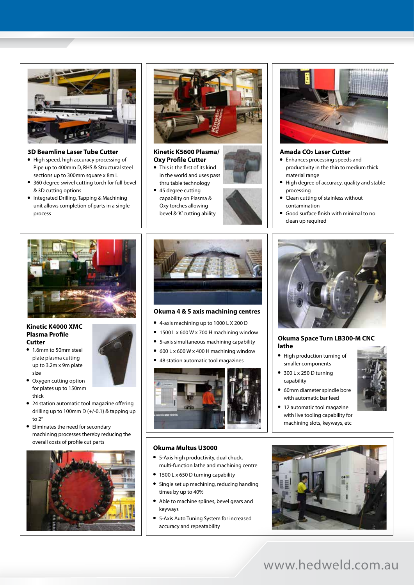

#### **3D Beamline Laser Tube Cutter**

- High speed, high accuracy processing of Pipe up to 400mm D, RHS & Structural steel sections up to 300mm square x 8m L
- 360 degree swivel cutting torch for full bevel & 3D cutting options
- **•** Integrated Drilling, Tapping & Machining unit allows completion of parts in a single process



#### **Kinetic K5600 Plasma/ Oxy Profile Cutter**

- This is the first of its kind in the world and uses pass thru table technology
- 45 degree cutting capability on Plasma & Oxy torches allowing bevel & 'K' cutting ability





#### **Kinetic K4000 XMC Plasma Profile Cutter**

- 1.6mm to 50mm steel plate plasma cutting up to 3.2m x 9m plate size
- Oxygen cutting option for plates up to 150mm thick
- 24 station automatic tool magazine offering drilling up to 100mm D (+/-0.1) & tapping up to 2"
- Eliminates the need for secondary machining processes thereby reducing the overall costs of profile cut parts





#### **Okuma 4 & 5 axis machining centres**

- <sup>l</sup> 4-axis machining up to 1000 L X 200 D
- $\bullet$  1500 L x 600 W x 700 H machining window
- 5-axis simultaneous machining capability
- $600$  L x  $600$  W x 400 H machining window
- 48 station automatic tool magazines



#### **Okuma Multus U3000**

- **•** 5-Axis high productivity, dual chuck, multi-function lathe and machining centre
- 1500 L x 650 D turning capability
- Single set up machining, reducing handing times by up to 40%
- Able to machine splines, bevel gears and keyways
- **5-Axis Auto Tuning System for increased** accuracy and repeatability



#### **Amada CO2 Laser Cutter**

- Enhances processing speeds and productivity in the thin to medium thick material range
- High degree of accuracy, quality and stable processing
- Clean cutting of stainless without contamination
- <sup>l</sup> Good surface finish with minimal to no clean up required



#### **Okuma Space Turn LB300-M CNC lathe**

- High production turning of smaller components
- $\bullet$  300 L x 250 D turning capability
- 60mm diameter spindle bore with automatic bar feed
- 12 automatic tool magazine with live tooling capability for machining slots, keyways, etc



# www.hedweld.com.au